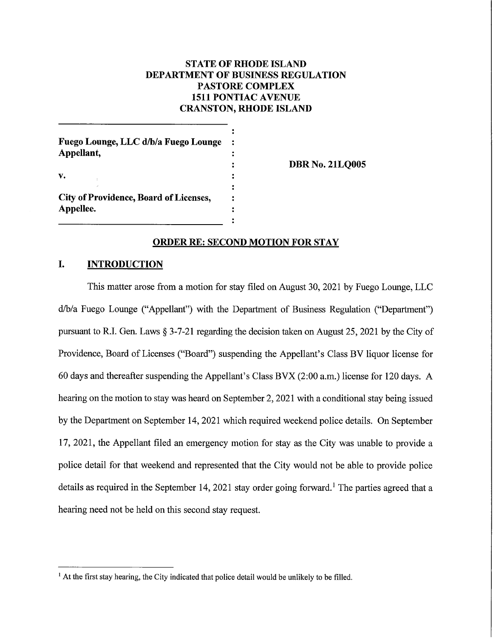# **STATE OF RHODE ISLAND DEPARTMENT OF BUSINESS REGULATION PASTORE COMPLEX 1511 PONTIAC AVENUE CRANSTON, RHODE ISLAND**

Fuego Lounge, LLC d/b/a Fuego Lounge Appellant, v. **City of Providence, Board of Licenses.** Appellee.

**DBR No. 21LQ005** 

### **ORDER RE: SECOND MOTION FOR STAY**

### I. **INTRODUCTION**

This matter arose from a motion for stay filed on August 30, 2021 by Fuego Lounge, LLC d/b/a Fuego Lounge ("Appellant") with the Department of Business Regulation ("Department") pursuant to R.I. Gen. Laws § 3-7-21 regarding the decision taken on August 25, 2021 by the City of Providence, Board of Licenses ("Board") suspending the Appellant's Class BV liquor license for 60 days and thereafter suspending the Appellant's Class BVX (2:00 a.m.) license for 120 days. A hearing on the motion to stay was heard on September 2, 2021 with a conditional stay being issued by the Department on September 14, 2021 which required weekend police details. On September 17, 2021, the Appellant filed an emergency motion for stay as the City was unable to provide a police detail for that weekend and represented that the City would not be able to provide police details as required in the September 14, 2021 stay order going forward.<sup>1</sup> The parties agreed that a hearing need not be held on this second stay request.

<sup>&</sup>lt;sup>1</sup> At the first stay hearing, the City indicated that police detail would be unlikely to be filled.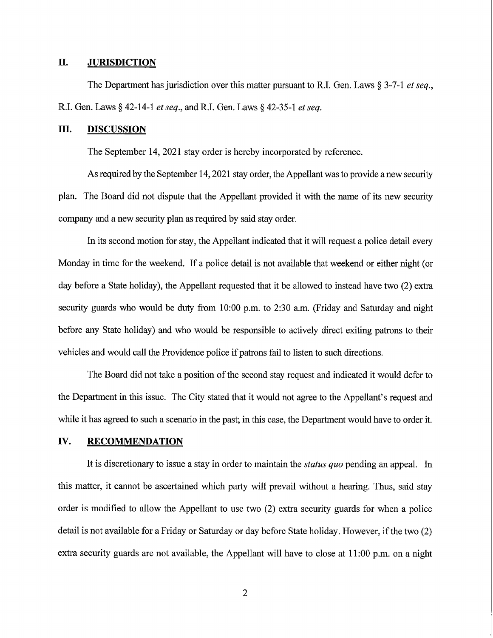#### II. **JURISDICTION**

The Department has jurisdiction over this matter pursuant to R.I. Gen. Laws  $\S 3-7-1$  et seq., R.I. Gen. Laws § 42-14-1 et seq., and R.I. Gen. Laws § 42-35-1 et seq.

### III. **DISCUSSION**

The September 14, 2021 stay order is hereby incorporated by reference.

As required by the September 14, 2021 stay order, the Appellant was to provide a new security plan. The Board did not dispute that the Appellant provided it with the name of its new security company and a new security plan as required by said stay order.

In its second motion for stay, the Appellant indicated that it will request a police detail every Monday in time for the weekend. If a police detail is not available that weekend or either night (or day before a State holiday), the Appellant requested that it be allowed to instead have two (2) extra security guards who would be duty from 10:00 p.m. to 2:30 a.m. (Friday and Saturday and night before any State holiday) and who would be responsible to actively direct exiting patrons to their vehicles and would call the Providence police if patrons fail to listen to such directions.

The Board did not take a position of the second stay request and indicated it would defer to the Department in this issue. The City stated that it would not agree to the Appellant's request and while it has agreed to such a scenario in the past; in this case, the Department would have to order it.

#### IV. **RECOMMENDATION**

It is discretionary to issue a stay in order to maintain the *status quo* pending an appeal. In this matter, it cannot be ascertained which party will prevail without a hearing. Thus, said stay order is modified to allow the Appellant to use two (2) extra security guards for when a police detail is not available for a Friday or Saturday or day before State holiday. However, if the two (2) extra security guards are not available, the Appellant will have to close at 11:00 p.m. on a night